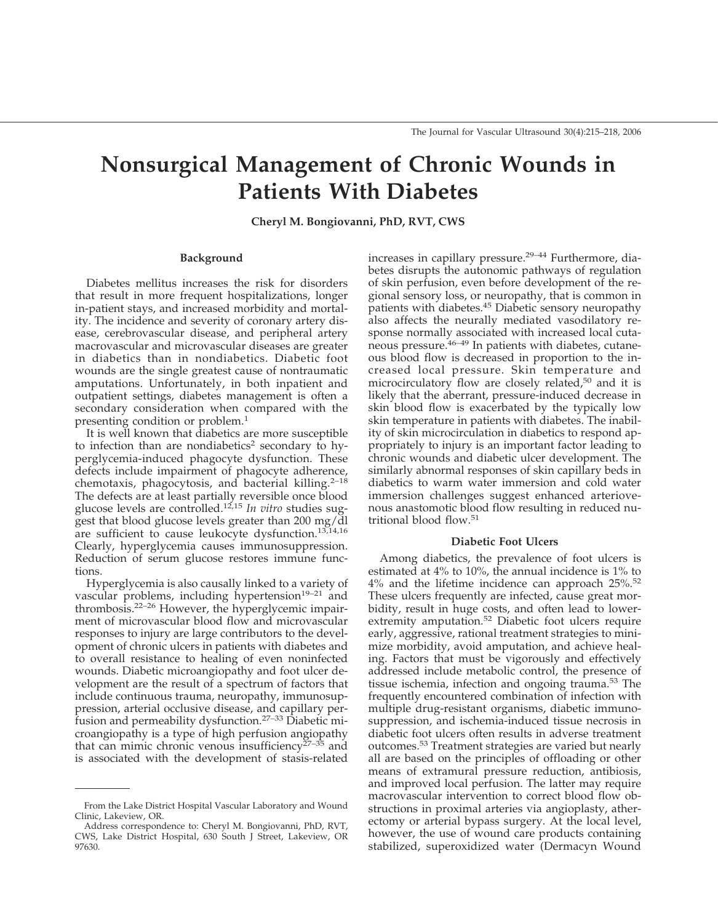# **Nonsurgical Management of Chronic Wounds in Patients With Diabetes**

Cheryl M. Bongiovanni, PhD, RVT, CWS

# Background

Diabetes mellitus increases the risk for disorders that result in more frequent hospitalizations, longer in-patient stays, and increased morbidity and mortality. The incidence and severity of coronary artery disease, cerebrovascular disease, and peripheral artery macrovascular and microvascular diseases are greater in diabetics than in nondiabetics. Diabetic foot wounds are the single greatest cause of nontraumatic amputations. Unfortunately, in both inpatient and outpatient settings, diabetes management is often a secondary consideration when compared with the presenting condition or problem.<sup>1</sup>

It is well known that diabetics are more susceptible to infection than are nondiabetics<sup>2</sup> secondary to hyperglycemia-induced phagocyte dysfunction. These defects include impairment of phagocyte adherence, chemotaxis, phagocytosis, and bacterial killing.<sup>2-18</sup> The defects are at least partially reversible once blood glucose levels are controlled.<sup>12,15</sup> In vitro studies suggest that blood glucose levels greater than 200 mg/dl are sufficient to cause leukocyte dysfunction.<sup>13,14,16</sup> Clearly, hyperglycemia causes immunosuppression. Reduction of serum glucose restores immune functions.

Hyperglycemia is also causally linked to a variety of vascular problems, including hypertension<sup>19-21</sup> and thrombosis.<sup>22-26</sup> However, the hyperglycemic impairment of microvascular blood flow and microvascular responses to injury are large contributors to the development of chronic ulcers in patients with diabetes and to overall resistance to healing of even noninfected wounds. Diabetic microangiopathy and foot ulcer development are the result of a spectrum of factors that include continuous trauma, neuropathy, immunosuppression, arterial occlusive disease, and capillary perfusion and permeability dysfunction.<sup>27-33</sup> Diabetic microangiopathy is a type of high perfusion angiopathy that can mimic chronic venous insufficiency<sup>27-35</sup> and is associated with the development of stasis-related

increases in capillary pressure.<sup>29-44</sup> Furthermore, diabetes disrupts the autonomic pathways of regulation of skin perfusion, even before development of the regional sensory loss, or neuropathy, that is common in patients with diabetes.<sup>45</sup> Diabetic sensory neuropathy also affects the neurally mediated vasodilatory response normally associated with increased local cutaneous pressure.<sup>46–49</sup> In patients with diabetes, cutaneous blood flow is decreased in proportion to the increased local pressure. Skin temperature and microcirculatory flow are closely related,<sup>50</sup> and it is likely that the aberrant, pressure-induced decrease in skin blood flow is exacerbated by the typically low skin temperature in patients with diabetes. The inability of skin microcirculation in diabetics to respond appropriately to injury is an important factor leading to chronic wounds and diabetic ulcer development. The similarly abnormal responses of skin capillary beds in diabetics to warm water immersion and cold water immersion challenges suggest enhanced arteriovenous anastomotic blood flow resulting in reduced nutritional blood flow.<sup>51</sup>

# **Diabetic Foot Ulcers**

Among diabetics, the prevalence of foot ulcers is estimated at 4% to 10%, the annual incidence is 1% to  $4\%$  and the lifetime incidence can approach  $25\%$ .<sup>52</sup> These ulcers frequently are infected, cause great morbidity, result in huge costs, and often lead to lowerextremity amputation.<sup>52</sup> Diabetic foot ulcers require early, aggressive, rational treatment strategies to minimize morbidity, avoid amputation, and achieve healing. Factors that must be vigorously and effectively addressed include metabolic control, the presence of tissue ischemia, infection and ongoing trauma.<sup>53</sup> The frequently encountered combination of infection with multiple drug-resistant organisms, diabetic immunosuppression, and ischemia-induced tissue necrosis in diabetic foot ulcers often results in adverse treatment outcomes.<sup>53</sup> Treatment strategies are varied but nearly all are based on the principles of offloading or other means of extramural pressure reduction, antibiosis, and improved local perfusion. The latter may require macrovascular intervention to correct blood flow obstructions in proximal arteries via angioplasty, atherectomy or arterial bypass surgery. At the local level, however, the use of wound care products containing stabilized, superoxidized water (Dermacyn Wound

From the Lake District Hospital Vascular Laboratory and Wound Clinic, Lakeview, OR.

Address correspondence to: Cheryl M. Bongiovanni, PhD, RVT, CWS, Lake District Hospital, 630 South J Street, Lakeview, OR 97630.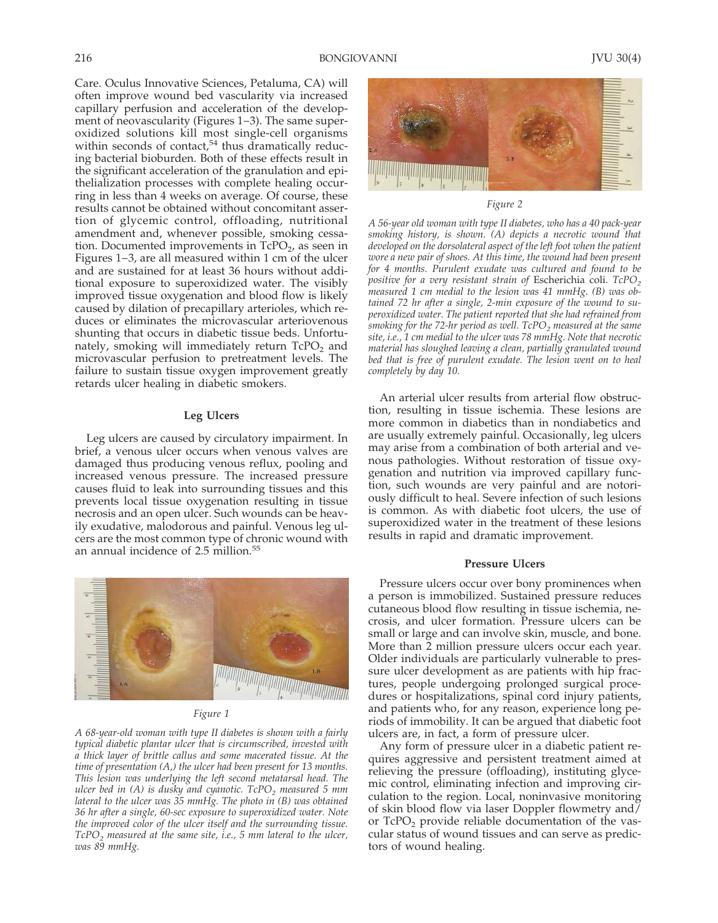Care. Oculus Innovative Sciences, Petaluma, CA) will often improve wound bed vascularity via increased capillary perfusion and acceleration of the development of neovascularity (Figures 1-3). The same superoxidized solutions kill most single-cell organisms within seconds of contact,<sup>54</sup> thus dramatically reducing bacterial bioburden. Both of these effects result in the significant acceleration of the granulation and epithelialization processes with complete healing occurring in less than 4 weeks on average. Of course, these results cannot be obtained without concomitant assertion of glycemic control, offloading, nutritional amendment and, whenever possible, smoking cessation. Documented improvements in  $TePO<sub>2</sub>$ , as seen in Figures  $1-3$ , are all measured within 1 cm of the ulcer and are sustained for at least 36 hours without additional exposure to superoxidized water. The visibly improved tissue oxygenation and blood flow is likely caused by dilation of precapillary arterioles, which reduces or eliminates the microvascular arteriovenous shunting that occurs in diabetic tissue beds. Unfortunately, smoking will immediately return TcPO<sub>2</sub> and microvascular perfusion to pretreatment levels. The failure to sustain tissue oxygen improvement greatly retards ulcer healing in diabetic smokers.

# **Leg Ulcers**

Leg ulcers are caused by circulatory impairment. In brief, a venous ulcer occurs when venous valves are damaged thus producing venous reflux, pooling and increased venous pressure. The increased pressure causes fluid to leak into surrounding tissues and this prevents local tissue oxygenation resulting in tissue necrosis and an open ulcer. Such wounds can be heavily exudative, malodorous and painful. Venous leg ulcers are the most common type of chronic wound with an annual incidence of 2.5 million.<sup>55</sup>



#### Figure 1

A 68-year-old woman with type II diabetes is shown with a fairly typical diabetic plantar ulcer that is circumscribed, invested with a thick layer of brittle callus and some macerated tissue. At the time of presentation  $(A)$ , the ulcer had been present for 13 months. This lesion was underlying the left second metatarsal head. The ulcer bed in  $(A)$  is dusky and cyanotic. TcPO<sub>2</sub> measured 5 mm lateral to the ulcer was  $35$  mmHg. The photo in  $(B)$  was obtained 36 hr after a single, 60-sec exposure to superoxidized water. Note the improved color of the ulcer itself and the surrounding tissue.  $TePO<sub>2</sub>$  measured at the same site, i.e., 5 mm lateral to the ulcer, was 89 mmHg.



## Figure 2

A 56-year old woman with type II diabetes, who has a 40 pack-year smoking history, is shown. (A) depicts a necrotic wound that developed on the dorsolateral aspect of the left foot when the patient wore a new pair of shoes. At this time, the wound had been present for 4 months. Purulent exudate was cultured and found to be positive for a very resistant strain of Escherichia coli. TcPO<sub>2</sub> measured 1 cm medial to the lesion was 41 mmHg.  $(B)$  was obtained 72 hr after a single, 2-min exposure of the wound to superoxidized water. The patient reported that she had refrained from smoking for the 72-hr period as well. TcPO<sub>2</sub> measured at the same site, *i.e.*, 1 cm medial to the ulcer was 78 mmHg. Note that necrotic material has sloughed leaving a clean, partially granulated wound bed that is free of purulent exudate. The lesion went on to heal completely by day 10.

An arterial ulcer results from arterial flow obstruction, resulting in tissue ischemia. These lesions are more common in diabetics than in nondiabetics and are usually extremely painful. Occasionally, leg ulcers may arise from a combination of both arterial and venous pathologies. Without restoration of tissue oxygenation and nutrition via improved capillary function, such wounds are very painful and are notoriously difficult to heal. Severe infection of such lesions is common. As with diabetic foot ulcers, the use of superoxidized water in the treatment of these lesions results in rapid and dramatic improvement.

## **Pressure Ulcers**

Pressure ulcers occur over bony prominences when a person is immobilized. Sustained pressure reduces cutaneous blood flow resulting in tissue ischemia, necrosis, and ulcer formation. Pressure ulcers can be small or large and can involve skin, muscle, and bone. More than 2 million pressure ulcers occur each year. Older individuals are particularly vulnerable to pressure ulcer development as are patients with hip fractures, people undergoing prolonged surgical procedures or hospitalizations, spinal cord injury patients, and patients who, for any reason, experience long periods of immobility. It can be argued that diabetic foot ulcers are, in fact, a form of pressure ulcer.

Any form of pressure ulcer in a diabetic patient requires aggressive and persistent treatment aimed at relieving the pressure (offloading), instituting glycemic control, eliminating infection and improving circulation to the region. Local, noninvasive monitoring of skin blood flow via laser Doppler flowmetry and/ or  $TePO<sub>2</sub>$  provide reliable documentation of the vascular status of wound tissues and can serve as predictors of wound healing.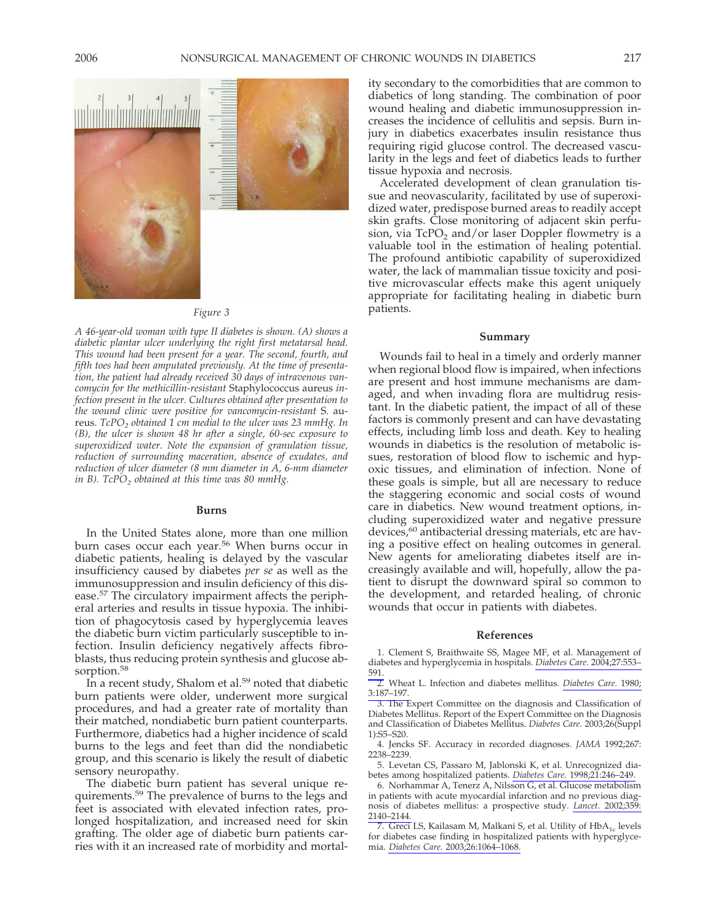

#### Figure 3

A 46-year-old woman with type II diabetes is shown. (A) shows a diabetic plantar ulcer underlying the right first metatarsal head. This wound had been present for a year. The second, fourth, and fifth toes had been amputated previously. At the time of presentation, the patient had already received 30 days of intravenous vancomycin for the methicillin-resistant Staphylococcus aureus infection present in the ulcer. Cultures obtained after presentation to the wound clinic were positive for vancomycin-resistant S. aureus. TcPO<sub>2</sub> obtained 1 cm medial to the ulcer was 23 mmHg. In (B), the ulcer is shown 48 hr after a single, 60-sec exposure to superoxidized water. Note the expansion of granulation tissue, reduction of surrounding maceration, absence of exudates, and reduction of ulcer diameter (8 mm diameter in A, 6-mm diameter in B). TcPO<sub>2</sub> obtained at this time was 80 mmHg.

## **Burns**

In the United States alone, more than one million burn cases occur each year.<sup>56</sup> When burns occur in diabetic patients, healing is delayed by the vascular insufficiency caused by diabetes per se as well as the immunosuppression and insulin deficiency of this disease.<sup>57</sup> The circulatory impairment affects the peripheral arteries and results in tissue hypoxia. The inhibition of phagocytosis cased by hyperglycemia leaves the diabetic burn victim particularly susceptible to infection. Insulin deficiency negatively affects fibroblasts, thus reducing protein synthesis and glucose absorption.<sup>58</sup>

In a recent study, Shalom et al.<sup>59</sup> noted that diabetic burn patients were older, underwent more surgical procedures, and had a greater rate of mortality than their matched, nondiabetic burn patient counterparts. Furthermore, diabetics had a higher incidence of scald burns to the legs and feet than did the nondiabetic group, and this scenario is likely the result of diabetic sensory neuropathy.

The diabetic burn patient has several unique requirements.<sup>59</sup> The prevalence of burns to the legs and feet is associated with elevated infection rates, prolonged hospitalization, and increased need for skin grafting. The older age of diabetic burn patients carries with it an increased rate of morbidity and mortality secondary to the comorbidities that are common to diabetics of long standing. The combination of poor wound healing and diabetic immunosuppression increases the incidence of cellulitis and sepsis. Burn injury in diabetics exacerbates insulin resistance thus requiring rigid glucose control. The decreased vascularity in the legs and feet of diabetics leads to further tissue hypoxia and necrosis.

Accelerated development of clean granulation tissue and neovascularity, facilitated by use of superoxidized water, predispose burned areas to readily accept skin grafts. Close monitoring of adjacent skin perfusion, via  $TePO<sub>2</sub>$  and/or laser Doppler flowmetry is a valuable tool in the estimation of healing potential. The profound antibiotic capability of superoxidized water, the lack of mammalian tissue toxicity and positive microvascular effects make this agent uniquely appropriate for facilitating healing in diabetic burn patients.

#### Summary

Wounds fail to heal in a timely and orderly manner when regional blood flow is impaired, when infections are present and host immune mechanisms are damaged, and when invading flora are multidrug resistant. In the diabetic patient, the impact of all of these factors is commonly present and can have devastating effects, including limb loss and death. Key to healing wounds in diabetics is the resolution of metabolic issues, restoration of blood flow to ischemic and hypoxic tissues, and elimination of infection. None of these goals is simple, but all are necessary to reduce the staggering economic and social costs of wound care in diabetics. New wound treatment options, including superoxidized water and negative pressure devices,<sup>60</sup> antibacterial dressing materials, etc are having a positive effect on healing outcomes in general. New agents for ameliorating diabetes itself are increasingly available and will, hopefully, allow the patient to disrupt the downward spiral so common to the development, and retarded healing, of chronic wounds that occur in patients with diabetes.

#### **References**

1. Clement S, Braithwaite SS, Magee MF, et al. Management of diabetes and hyperglycemia in hospitals. Diabetes Care. 2004;27:553-591.

2. Wheat L. Infection and diabetes mellitus. Diabetes Care. 1980;  $3:187 - 197$ 

3. The Expert Committee on the diagnosis and Classification of Diabetes Mellitus. Report of the Expert Committee on the Diagnosis and Classification of Diabetes Mellitus. Diabetes Care. 2003;26(Suppl  $1):S5 - S20.$ 

4. Jencks SF. Accuracy in recorded diagnoses. JAMA 1992;267: 2238-2239.

5. Levetan CS, Passaro M, Jablonski K, et al. Unrecognized diabetes among hospitalized patients. Diabetes Care. 1998;21:246-249.

6. Norhammar A, Tenerz A, Nilsson G, et al. Glucose metabolism in patients with acute myocardial infarction and no previous diagnosis of diabetes mellitus: a prospective study. *Lancet.* 2002;359:  $2140 - 2144.$ 

7. Greci LS, Kailasam M, Malkani S, et al. Utility of HbA<sub>1c</sub> levels for diabetes case finding in hospitalized patients with hyperglyce-<br>mia. Diabetes Care. 2003;26:1064-1068.